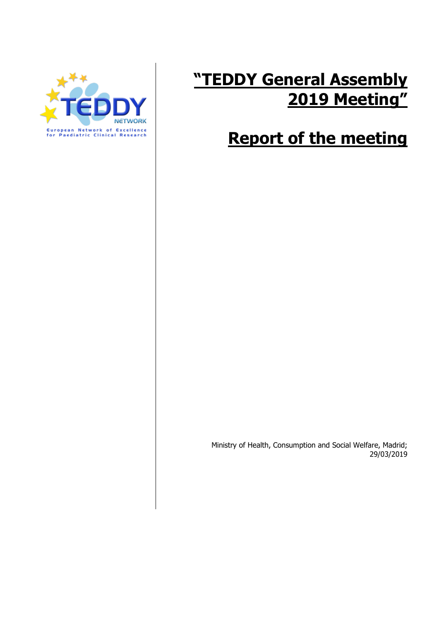

# **"TEDDY General Assembly 2019 Meeting"**

## **Report of the meeting**

Ministry of Health, Consumption and Social Welfare, Madrid; 29/03/2019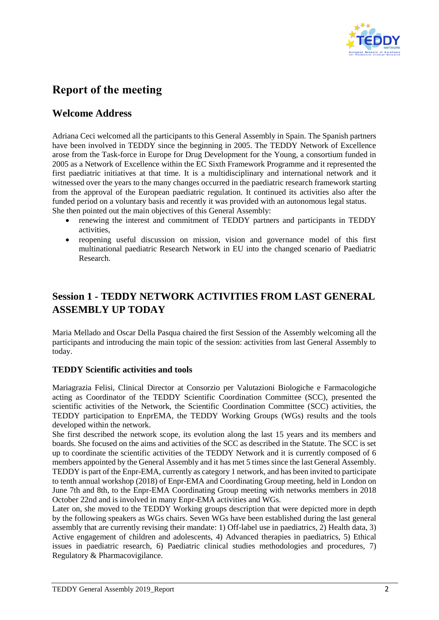

## **Report of the meeting**

### **Welcome Address**

Adriana Ceci welcomed all the participants to this General Assembly in Spain. The Spanish partners have been involved in TEDDY since the beginning in 2005. The TEDDY Network of Excellence arose from the Task-force in Europe for Drug Development for the Young, a consortium funded in 2005 as a Network of Excellence within the EC Sixth Framework Programme and it represented the first paediatric initiatives at that time. It is a multidisciplinary and international network and it witnessed over the years to the many changes occurred in the paediatric research framework starting from the approval of the European paediatric regulation. It continued its activities also after the funded period on a voluntary basis and recently it was provided with an autonomous legal status. She then pointed out the main objectives of this General Assembly:

- renewing the interest and commitment of TEDDY partners and participants in TEDDY activities,
- reopening useful discussion on mission, vision and governance model of this first multinational paediatric Research Network in EU into the changed scenario of Paediatric Research.

## **Session 1 - TEDDY NETWORK ACTIVITIES FROM LAST GENERAL ASSEMBLY UP TODAY**

Maria Mellado and Oscar Della Pasqua chaired the first Session of the Assembly welcoming all the participants and introducing the main topic of the session: activities from last General Assembly to today.

#### **TEDDY Scientific activities and tools**

Mariagrazia Felisi, Clinical Director at Consorzio per Valutazioni Biologiche e Farmacologiche acting as Coordinator of the TEDDY Scientific Coordination Committee (SCC), presented the scientific activities of the Network, the Scientific Coordination Committee (SCC) activities, the TEDDY participation to EnprEMA, the TEDDY Working Groups (WGs) results and the tools developed within the network.

She first described the network scope, its evolution along the last 15 years and its members and boards. She focused on the aims and activities of the SCC as described in the Statute. The SCC is set up to coordinate the scientific activities of the TEDDY Network and it is currently composed of 6 members appointed by the General Assembly and it has met 5 times since the last General Assembly. TEDDY is part of the Enpr-EMA, currently as category 1 network, and has been invited to participate to tenth annual workshop (2018) of Enpr-EMA and Coordinating Group meeting, held in London on June 7th and 8th, to the Enpr-EMA Coordinating Group meeting with networks members in 2018 October 22nd and is involved in many Enpr-EMA activities and WGs.

Later on, she moved to the TEDDY Working groups description that were depicted more in depth by the following speakers as WGs chairs. Seven WGs have been established during the last general assembly that are currently revising their mandate: 1) Off-label use in paediatrics, 2) Health data, 3) Active engagement of children and adolescents, 4) Advanced therapies in paediatrics, 5) Ethical issues in paediatric research, 6) Paediatric clinical studies methodologies and procedures, 7) Regulatory & Pharmacovigilance.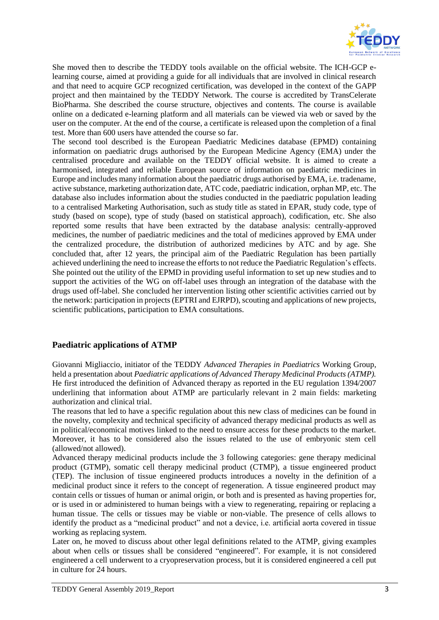

She moved then to describe the TEDDY tools available on the official website. The ICH-GCP elearning course, aimed at providing a guide for all individuals that are involved in clinical research and that need to acquire GCP recognized certification, was developed in the context of the GAPP project and then maintained by the TEDDY Network. The course is accredited by TransCelerate BioPharma. She described the course structure, objectives and contents. The course is available online on a dedicated e-learning platform and all materials can be viewed via web or saved by the user on the computer. At the end of the course, a certificate is released upon the completion of a final test. More than 600 users have attended the course so far.

The second tool described is the European Paediatric Medicines database (EPMD) containing information on paediatric drugs authorised by the European Medicine Agency (EMA) under the centralised procedure and available on the TEDDY official website. It is aimed to create a harmonised, integrated and reliable European source of information on paediatric medicines in Europe and includes many information about the paediatric drugs authorised by EMA, i.e. tradename, active substance, marketing authorization date, ATC code, paediatric indication, orphan MP, etc. The database also includes information about the studies conducted in the paediatric population leading to a centralised Marketing Authorisation, such as study title as stated in EPAR, study code, type of study (based on scope), type of study (based on statistical approach), codification, etc. She also reported some results that have been extracted by the database analysis: centrally-approved medicines, the number of paediatric medicines and the total of medicines approved by EMA under the centralized procedure, the distribution of authorized medicines by ATC and by age. She concluded that, after 12 years, the principal aim of the Paediatric Regulation has been partially achieved underlining the need to increase the efforts to not reduce the Paediatric Regulation's effects. She pointed out the utility of the EPMD in providing useful information to set up new studies and to support the activities of the WG on off-label uses through an integration of the database with the drugs used off-label. She concluded her intervention listing other scientific activities carried out by the network: participation in projects (EPTRI and EJRPD), scouting and applications of new projects, scientific publications, participation to EMA consultations.

#### **Paediatric applications of ATMP**

Giovanni Migliaccio, initiator of the TEDDY *Advanced Therapies in Paediatrics* Working Group, held a presentation about *Paediatric applications of Advanced Therapy Medicinal Products (ATMP).* He first introduced the definition of Advanced therapy as reported in the EU regulation 1394/2007 underlining that information about ATMP are particularly relevant in 2 main fields: marketing authorization and clinical trial.

The reasons that led to have a specific regulation about this new class of medicines can be found in the novelty, complexity and technical specificity of advanced therapy medicinal products as well as in political/economical motives linked to the need to ensure access for these products to the market. Moreover, it has to be considered also the issues related to the use of embryonic stem cell (allowed/not allowed).

Advanced therapy medicinal products include the 3 following categories: gene therapy medicinal product (GTMP), somatic cell therapy medicinal product (CTMP), a tissue engineered product (TEP). The inclusion of tissue engineered products introduces a novelty in the definition of a medicinal product since it refers to the concept of regeneration. A tissue engineered product may contain cells or tissues of human or animal origin, or both and is presented as having properties for, or is used in or administered to human beings with a view to regenerating, repairing or replacing a human tissue. The cells or tissues may be viable or non-viable. The presence of cells allows to identify the product as a "medicinal product" and not a device, i.e. artificial aorta covered in tissue working as replacing system.

Later on, he moved to discuss about other legal definitions related to the ATMP, giving examples about when cells or tissues shall be considered "engineered". For example, it is not considered engineered a cell underwent to a cryopreservation process, but it is considered engineered a cell put in culture for 24 hours.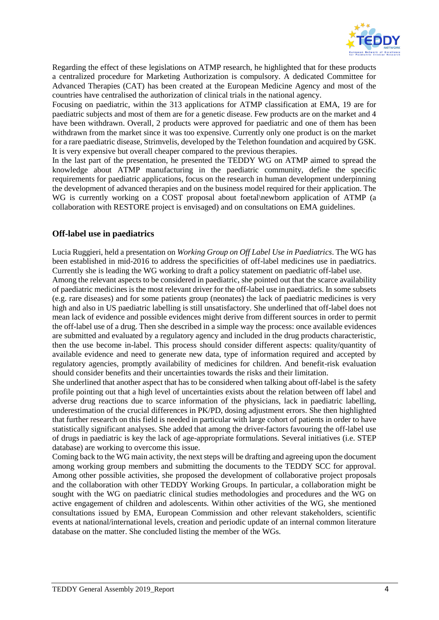

Regarding the effect of these legislations on ATMP research, he highlighted that for these products a centralized procedure for Marketing Authorization is compulsory. A dedicated Committee for Advanced Therapies (CAT) has been created at the European Medicine Agency and most of the countries have centralised the authorization of clinical trials in the national agency.

Focusing on paediatric, within the 313 applications for ATMP classification at EMA, 19 are for paediatric subjects and most of them are for a genetic disease. Few products are on the market and 4 have been withdrawn. Overall, 2 products were approved for paediatric and one of them has been withdrawn from the market since it was too expensive. Currently only one product is on the market for a rare paediatric disease, Strimvelis, developed by the Telethon foundation and acquired by GSK. It is very expensive but overall cheaper compared to the previous therapies.

In the last part of the presentation, he presented the TEDDY WG on ATMP aimed to spread the knowledge about ATMP manufacturing in the paediatric community, define the specific requirements for paediatric applications, focus on the research in human development underpinning the development of advanced therapies and on the business model required for their application. The WG is currently working on a COST proposal about foetal\newborn application of ATMP (a collaboration with RESTORE project is envisaged) and on consultations on EMA guidelines.

#### **Off-label use in paediatrics**

Lucia Ruggieri, held a presentation on *Working Group on Off Label Use in Paediatrics*. The WG has been established in mid-2016 to address the specificities of off-label medicines use in paediatrics. Currently she is leading the WG working to draft a policy statement on paediatric off-label use.

Among the relevant aspects to be considered in paediatric, she pointed out that the scarce availability of paediatric medicines is the most relevant driver for the off-label use in paediatrics. In some subsets (e.g. rare diseases) and for some patients group (neonates) the lack of paediatric medicines is very high and also in US paediatric labelling is still unsatisfactory. She underlined that off-label does not mean lack of evidence and possible evidences might derive from different sources in order to permit the off-label use of a drug. Then she described in a simple way the process: once available evidences are submitted and evaluated by a regulatory agency and included in the drug products characteristic, then the use become in-label. This process should consider different aspects: quality/quantity of available evidence and need to generate new data, type of information required and accepted by regulatory agencies, promptly availability of medicines for children. And benefit-risk evaluation should consider benefits and their uncertainties towards the risks and their limitation.

She underlined that another aspect that has to be considered when talking about off-label is the safety profile pointing out that a high level of uncertainties exists about the relation between off label and adverse drug reactions due to scarce information of the physicians, lack in paediatric labelling, underestimation of the crucial differences in PK/PD, dosing adjustment errors. She then highlighted that further research on this field is needed in particular with large cohort of patients in order to have statistically significant analyses. She added that among the driver-factors favouring the off-label use of drugs in paediatric is key the lack of age-appropriate formulations. Several initiatives (i.e. STEP database) are working to overcome this issue.

Coming back to the WG main activity, the next steps will be drafting and agreeing upon the document among working group members and submitting the documents to the TEDDY SCC for approval. Among other possible activities, she proposed the development of collaborative project proposals and the collaboration with other TEDDY Working Groups. In particular, a collaboration might be sought with the WG on paediatric clinical studies methodologies and procedures and the WG on active engagement of children and adolescents. Within other activities of the WG, she mentioned consultations issued by EMA, European Commission and other relevant stakeholders, scientific events at national/international levels, creation and periodic update of an internal common literature database on the matter. She concluded listing the member of the WGs.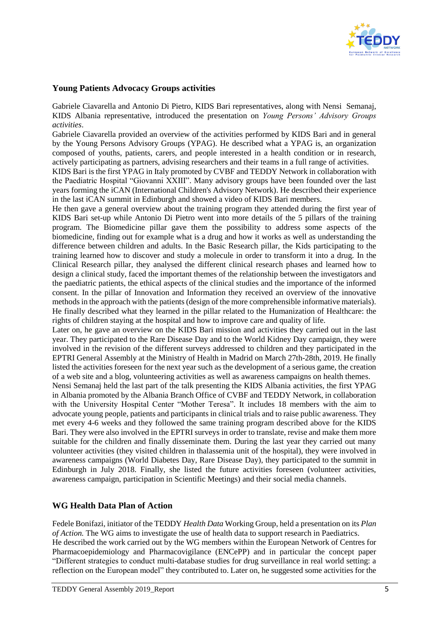

#### **Young Patients Advocacy Groups activities**

Gabriele Ciavarella and Antonio Di Pietro, KIDS Bari representatives, along with Nensi Semanaj, KIDS Albania representative, introduced the presentation on *Young Persons' Advisory Groups activities*.

Gabriele Ciavarella provided an overview of the activities performed by KIDS Bari and in general by the Young Persons Advisory Groups (YPAG). He described what a YPAG is, an organization composed of youths, patients, carers, and people interested in a health condition or in research, actively participating as partners, advising researchers and their teams in a full range of activities.

KIDS Bari is the first YPAG in Italy promoted by CVBF and TEDDY Network in collaboration with the Paediatric Hospital "Giovanni XXIII". Many advisory groups have been founded over the last years forming the iCAN (International Children's Advisory Network). He described their experience in the last iCAN summit in Edinburgh and showed a video of KIDS Bari members.

He then gave a general overview about the training program they attended during the first year of KIDS Bari set-up while Antonio Di Pietro went into more details of the 5 pillars of the training program. The Biomedicine pillar gave them the possibility to address some aspects of the biomedicine, finding out for example what is a drug and how it works as well as understanding the difference between children and adults. In the Basic Research pillar, the Kids participating to the training learned how to discover and study a molecule in order to transform it into a drug. In the Clinical Research pillar, they analysed the different clinical research phases and learned how to design a clinical study, faced the important themes of the relationship between the investigators and the paediatric patients, the ethical aspects of the clinical studies and the importance of the informed consent. In the pillar of Innovation and Information they received an overview of the innovative methods in the approach with the patients (design of the more comprehensible informative materials). He finally described what they learned in the pillar related to the Humanization of Healthcare: the rights of children staying at the hospital and how to improve care and quality of life.

Later on, he gave an overview on the KIDS Bari mission and activities they carried out in the last year. They participated to the Rare Disease Day and to the World Kidney Day campaign, they were involved in the revision of the different surveys addressed to children and they participated in the EPTRI General Assembly at the Ministry of Health in Madrid on March 27th-28th, 2019. He finally listed the activities foreseen for the next year such as the development of a serious game, the creation of a web site and a blog, volunteering activities as well as awareness campaigns on health themes.

Nensi Semanaj held the last part of the talk presenting the KIDS Albania activities, the first YPAG in Albania promoted by the Albania Branch Office of CVBF and TEDDY Network, in collaboration with the University Hospital Center "Mother Teresa". It includes 18 members with the aim to advocate young people, patients and participants in clinical trials and to raise public awareness. They met every 4-6 weeks and they followed the same training program described above for the KIDS Bari. They were also involved in the EPTRI surveys in order to translate, revise and make them more suitable for the children and finally disseminate them. During the last year they carried out many volunteer activities (they visited children in thalassemia unit of the hospital), they were involved in awareness campaigns (World Diabetes Day, Rare Disease Day), they participated to the summit in Edinburgh in July 2018. Finally, she listed the future activities foreseen (volunteer activities, awareness campaign, participation in Scientific Meetings) and their social media channels.

#### **WG Health Data Plan of Action**

Fedele Bonifazi, initiator of the TEDDY *Health Data* Working Group, held a presentation on its *Plan of Action.* The WG aims to investigate the use of health data to support research in Paediatrics. He described the work carried out by the WG members within the European Network of Centres for Pharmacoepidemiology and Pharmacovigilance (ENCePP) and in particular the concept paper "Different strategies to conduct multi-database studies for drug surveillance in real world setting: a reflection on the European model" they contributed to. Later on, he suggested some activities for the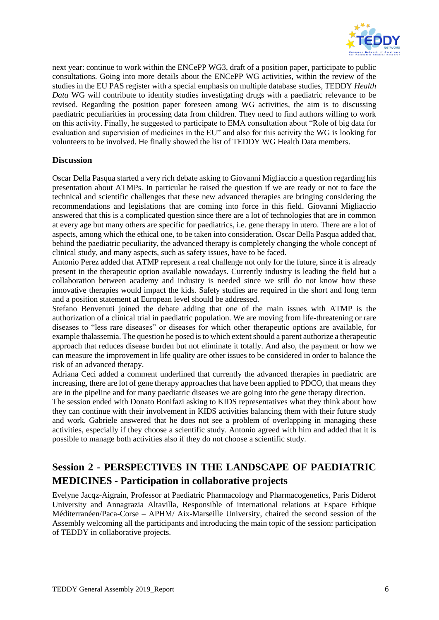

next year: continue to work within the ENCePP WG3, draft of a position paper, participate to public consultations. Going into more details about the ENCePP WG activities, within the review of the studies in the EU PAS register with a special emphasis on multiple database studies, TEDDY *Health Data* WG will contribute to identify studies investigating drugs with a paediatric relevance to be revised. Regarding the position paper foreseen among WG activities, the aim is to discussing paediatric peculiarities in processing data from children. They need to find authors willing to work on this activity. Finally, he suggested to participate to EMA consultation about "Role of big data for evaluation and supervision of medicines in the EU" and also for this activity the WG is looking for volunteers to be involved. He finally showed the list of TEDDY WG Health Data members.

#### **Discussion**

Oscar Della Pasqua started a very rich debate asking to Giovanni Migliaccio a question regarding his presentation about ATMPs. In particular he raised the question if we are ready or not to face the technical and scientific challenges that these new advanced therapies are bringing considering the recommendations and legislations that are coming into force in this field. Giovanni Migliaccio answered that this is a complicated question since there are a lot of technologies that are in common at every age but many others are specific for paediatrics, i.e. gene therapy in utero. There are a lot of aspects, among which the ethical one, to be taken into consideration. Oscar Della Pasqua added that, behind the paediatric peculiarity, the advanced therapy is completely changing the whole concept of clinical study, and many aspects, such as safety issues, have to be faced.

Antonio Perez added that ATMP represent a real challenge not only for the future, since it is already present in the therapeutic option available nowadays. Currently industry is leading the field but a collaboration between academy and industry is needed since we still do not know how these innovative therapies would impact the kids. Safety studies are required in the short and long term and a position statement at European level should be addressed.

Stefano Benvenuti joined the debate adding that one of the main issues with ATMP is the authorization of a clinical trial in paediatric population. We are moving from life-threatening or rare diseases to "less rare diseases" or diseases for which other therapeutic options are available, for example thalassemia. The question he posed is to which extent should a parent authorize a therapeutic approach that reduces disease burden but not eliminate it totally. And also, the payment or how we can measure the improvement in life quality are other issues to be considered in order to balance the risk of an advanced therapy.

Adriana Ceci added a comment underlined that currently the advanced therapies in paediatric are increasing, there are lot of gene therapy approaches that have been applied to PDCO, that means they are in the pipeline and for many paediatric diseases we are going into the gene therapy direction.

The session ended with Donato Bonifazi asking to KIDS representatives what they think about how they can continue with their involvement in KIDS activities balancing them with their future study and work. Gabriele answered that he does not see a problem of overlapping in managing these activities, especially if they choose a scientific study. Antonio agreed with him and added that it is possible to manage both activities also if they do not choose a scientific study.

## **Session 2 - PERSPECTIVES IN THE LANDSCAPE OF PAEDIATRIC MEDICINES - Participation in collaborative projects**

Evelyne Jacqz-Aigrain, Professor at Paediatric Pharmacology and Pharmacogenetics, Paris Diderot University and Annagrazia Altavilla, Responsible of international relations at Espace Ethique Méditerranéen/Paca-Corse – APHM/ Aix-Marseille University, chaired the second session of the Assembly welcoming all the participants and introducing the main topic of the session: participation of TEDDY in collaborative projects.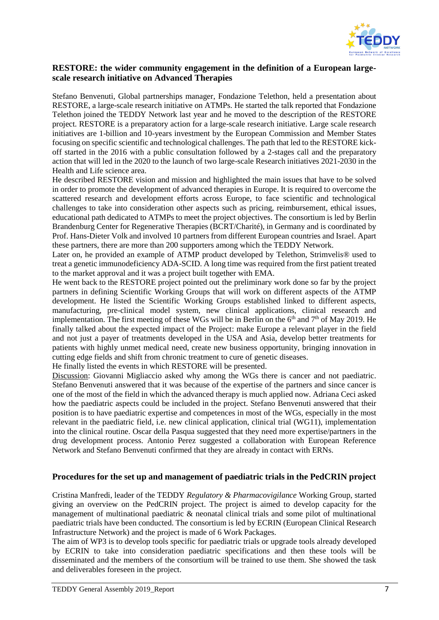

#### **RESTORE: the wider community engagement in the definition of a European largescale research initiative on Advanced Therapies**

Stefano Benvenuti, Global partnerships manager, Fondazione Telethon, held a presentation about RESTORE, a large-scale research initiative on ATMPs. He started the talk reported that Fondazione Telethon joined the TEDDY Network last year and he moved to the description of the RESTORE project. RESTORE is a preparatory action for a large-scale research initiative. Large scale research initiatives are 1-billion and 10-years investment by the European Commission and Member States focusing on specific scientific and technological challenges. The path that led to the RESTORE kickoff started in the 2016 with a public consultation followed by a 2-stages call and the preparatory action that will led in the 2020 to the launch of two large-scale Research initiatives 2021-2030 in the Health and Life science area.

He described RESTORE vision and mission and highlighted the main issues that have to be solved in order to promote the development of advanced therapies in Europe. It is required to overcome the scattered research and development efforts across Europe, to face scientific and technological challenges to take into consideration other aspects such as pricing, reimbursement, ethical issues, educational path dedicated to ATMPs to meet the project objectives. The consortium is led by Berlin Brandenburg Center for Regenerative Therapies (BCRT/Charité), in Germany and is coordinated by Prof. Hans-Dieter Volk and involved 10 partners from different European countries and Israel. Apart these partners, there are more than 200 supporters among which the TEDDY Network.

Later on, he provided an example of ATMP product developed by Telethon, Strimvelis<sup>®</sup> used to treat a genetic immunodeficiency ADA-SCID. A long time was required from the first patient treated to the market approval and it was a project built together with EMA.

He went back to the RESTORE project pointed out the preliminary work done so far by the project partners in defining Scientific Working Groups that will work on different aspects of the ATMP development. He listed the Scientific Working Groups established linked to different aspects, manufacturing, pre-clinical model system, new clinical applications, clinical research and implementation. The first meeting of these WGs will be in Berlin on the  $6<sup>th</sup>$  and  $7<sup>th</sup>$  of May 2019. He finally talked about the expected impact of the Project: make Europe a relevant player in the field and not just a payer of treatments developed in the USA and Asia, develop better treatments for patients with highly unmet medical need, create new business opportunity, bringing innovation in cutting edge fields and shift from chronic treatment to cure of genetic diseases.

He finally listed the events in which RESTORE will be presented.

Discussion: Giovanni Migliaccio asked why among the WGs there is cancer and not paediatric. Stefano Benvenuti answered that it was because of the expertise of the partners and since cancer is one of the most of the field in which the advanced therapy is much applied now. Adriana Ceci asked how the paediatric aspects could be included in the project. Stefano Benvenuti answered that their position is to have paediatric expertise and competences in most of the WGs, especially in the most relevant in the paediatric field, i.e. new clinical application, clinical trial (WG11), implementation into the clinical routine. Oscar della Pasqua suggested that they need more expertise/partners in the drug development process. Antonio Perez suggested a collaboration with European Reference Network and Stefano Benvenuti confirmed that they are already in contact with ERNs.

#### **Procedures for the set up and management of paediatric trials in the PedCRIN project**

Cristina Manfredi, leader of the TEDDY *Regulatory & Pharmacovigilance* Working Group, started giving an overview on the PedCRIN project. The project is aimed to develop capacity for the management of multinational paediatric & neonatal clinical trials and some pilot of multinational paediatric trials have been conducted. The consortium is led by ECRIN (European Clinical Research Infrastructure Network) and the project is made of 6 Work Packages.

The aim of WP3 is to develop tools specific for paediatric trials or upgrade tools already developed by ECRIN to take into consideration paediatric specifications and then these tools will be disseminated and the members of the consortium will be trained to use them. She showed the task and deliverables foreseen in the project.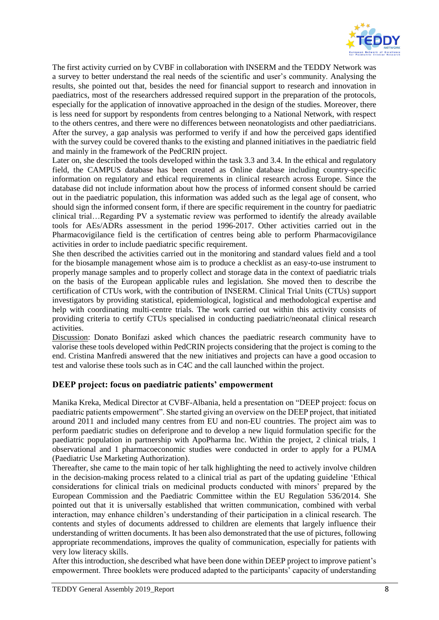

The first activity curried on by CVBF in collaboration with INSERM and the TEDDY Network was a survey to better understand the real needs of the scientific and user's community. Analysing the results, she pointed out that, besides the need for financial support to research and innovation in paediatrics, most of the researchers addressed required support in the preparation of the protocols, especially for the application of innovative approached in the design of the studies. Moreover, there is less need for support by respondents from centres belonging to a National Network, with respect to the others centres, and there were no differences between neonatologists and other paediatricians. After the survey, a gap analysis was performed to verify if and how the perceived gaps identified with the survey could be covered thanks to the existing and planned initiatives in the paediatric field and mainly in the framework of the PedCRIN project.

Later on, she described the tools developed within the task 3.3 and 3.4. In the ethical and regulatory field, the CAMPUS database has been created as Online database including country-specific information on regulatory and ethical requirements in clinical research across Europe. Since the database did not include information about how the process of informed consent should be carried out in the paediatric population, this information was added such as the legal age of consent, who should sign the informed consent form, if there are specific requirement in the country for paediatric clinical trial…Regarding PV a systematic review was performed to identify the already available tools for AEs/ADRs assessment in the period 1996-2017. Other activities carried out in the Pharmacovigilance field is the certification of centres being able to perform Pharmacovigilance activities in order to include paediatric specific requirement.

She then described the activities carried out in the monitoring and standard values field and a tool for the biosample management whose aim is to produce a checklist as an easy-to-use instrument to properly manage samples and to properly collect and storage data in the context of paediatric trials on the basis of the European applicable rules and legislation. She moved then to describe the certification of CTUs work, with the contribution of INSERM. Clinical Trial Units (CTUs) support investigators by providing statistical, epidemiological, logistical and methodological expertise and help with coordinating multi-centre trials. The work carried out within this activity consists of providing criteria to certify CTUs specialised in conducting paediatric/neonatal clinical research activities.

Discussion: Donato Bonifazi asked which chances the paediatric research community have to valorise these tools developed within PedCRIN projects considering that the project is coming to the end. Cristina Manfredi answered that the new initiatives and projects can have a good occasion to test and valorise these tools such as in C4C and the call launched within the project.

#### **DEEP project: focus on paediatric patients' empowerment**

Manika Kreka, Medical Director at CVBF-Albania, held a presentation on "DEEP project: focus on paediatric patients empowerment". She started giving an overview on the DEEP project, that initiated around 2011 and included many centres from EU and non-EU countries. The project aim was to perform paediatric studies on deferiprone and to develop a new liquid formulation specific for the paediatric population in partnership with ApoPharma Inc. Within the project, 2 clinical trials, 1 observational and 1 pharmacoeconomic studies were conducted in order to apply for a PUMA (Paediatric Use Marketing Authorization).

Thereafter, she came to the main topic of her talk highlighting the need to actively involve children in the decision-making process related to a clinical trial as part of the updating guideline 'Ethical considerations for clinical trials on medicinal products conducted with minors' prepared by the European Commission and the Paediatric Committee within the EU Regulation 536/2014. She pointed out that it is universally established that written communication, combined with verbal interaction, may enhance children's understanding of their participation in a clinical research. The contents and styles of documents addressed to children are elements that largely influence their understanding of written documents. It has been also demonstrated that the use of pictures, following appropriate recommendations, improves the quality of communication, especially for patients with very low literacy skills.

After this introduction, she described what have been done within DEEP project to improve patient's empowerment. Three booklets were produced adapted to the participants' capacity of understanding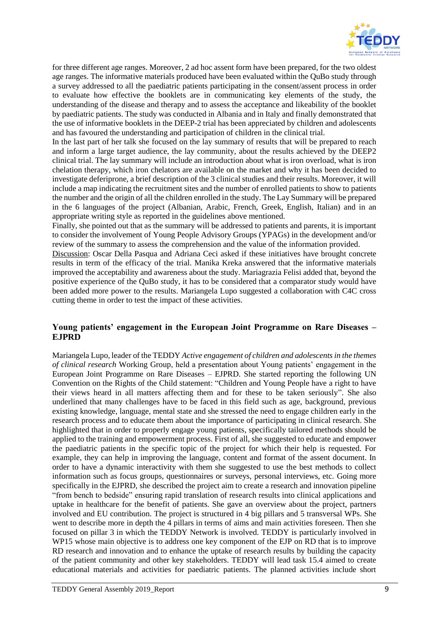

for three different age ranges. Moreover, 2 ad hoc assent form have been prepared, for the two oldest age ranges. The informative materials produced have been evaluated within the QuBo study through a survey addressed to all the paediatric patients participating in the consent/assent process in order to evaluate how effective the booklets are in communicating key elements of the study, the understanding of the disease and therapy and to assess the acceptance and likeability of the booklet by paediatric patients. The study was conducted in Albania and in Italy and finally demonstrated that the use of informative booklets in the DEEP-2 trial has been appreciated by children and adolescents and has favoured the understanding and participation of children in the clinical trial.

In the last part of her talk she focused on the lay summary of results that will be prepared to reach and inform a large target audience, the lay community, about the results achieved by the DEEP2 clinical trial. The lay summary will include an introduction about what is iron overload, what is iron chelation therapy, which iron chelators are available on the market and why it has been decided to investigate deferiprone, a brief description of the 3 clinical studies and their results. Moreover, it will include a map indicating the recruitment sites and the number of enrolled patients to show to patients the number and the origin of all the children enrolled in the study. The Lay Summary will be prepared in the 6 languages of the project (Albanian, Arabic, French, Greek, English, Italian) and in an appropriate writing style as reported in the guidelines above mentioned.

Finally, she pointed out that as the summary will be addressed to patients and parents, it is important to consider the involvement of Young People Advisory Groups (YPAGs) in the development and/or review of the summary to assess the comprehension and the value of the information provided.

Discussion: Oscar Della Pasqua and Adriana Ceci asked if these initiatives have brought concrete results in term of the efficacy of the trial. Manika Kreka answered that the informative materials improved the acceptability and awareness about the study. Mariagrazia Felisi added that, beyond the positive experience of the QuBo study, it has to be considered that a comparator study would have been added more power to the results. Mariangela Lupo suggested a collaboration with C4C cross cutting theme in order to test the impact of these activities.

#### **Young patients' engagement in the European Joint Programme on Rare Diseases – EJPRD**

Mariangela Lupo, leader of the TEDDY *Active engagement of children and adolescents in the themes of clinical research* Working Group, held a presentation about Young patients' engagement in the European Joint Programme on Rare Diseases – EJPRD. She started reporting the following UN Convention on the Rights of the Child statement: "Children and Young People have a right to have their views heard in all matters affecting them and for these to be taken seriously". She also underlined that many challenges have to be faced in this field such as age, background, previous existing knowledge, language, mental state and she stressed the need to engage children early in the research process and to educate them about the importance of participating in clinical research. She highlighted that in order to properly engage young patients, specifically tailored methods should be applied to the training and empowerment process. First of all, she suggested to educate and empower the paediatric patients in the specific topic of the project for which their help is requested. For example, they can help in improving the language, content and format of the assent document. In order to have a dynamic interactivity with them she suggested to use the best methods to collect information such as focus groups, questionnaires or surveys, personal interviews, etc. Going more specifically in the EJPRD, she described the project aim to create a research and innovation pipeline "from bench to bedside" ensuring rapid translation of research results into clinical applications and uptake in healthcare for the benefit of patients. She gave an overview about the project, partners involved and EU contribution. The project is structured in 4 big pillars and 5 transversal WPs. She went to describe more in depth the 4 pillars in terms of aims and main activities foreseen. Then she focused on pillar 3 in which the TEDDY Network is involved. TEDDY is particularly involved in WP15 whose main objective is to address one key component of the EJP on RD that is to improve RD research and innovation and to enhance the uptake of research results by building the capacity of the patient community and other key stakeholders. TEDDY will lead task 15.4 aimed to create educational materials and activities for paediatric patients. The planned activities include short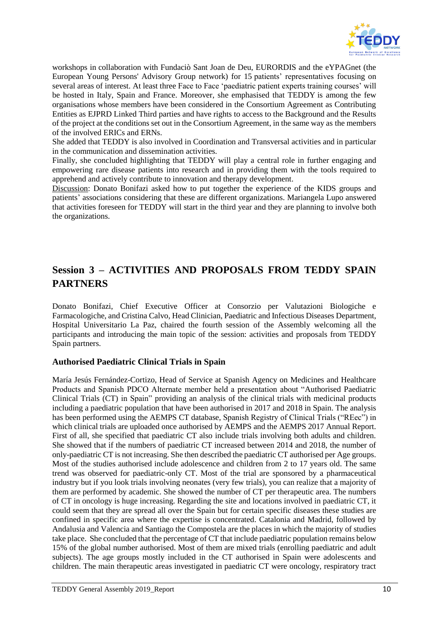

workshops in collaboration with Fundaciò Sant Joan de Deu, EURORDIS and the eYPAGnet (the European Young Persons' Advisory Group network) for 15 patients' representatives focusing on several areas of interest. At least three Face to Face 'paediatric patient experts training courses' will be hosted in Italy, Spain and France. Moreover, she emphasised that TEDDY is among the few organisations whose members have been considered in the Consortium Agreement as Contributing Entities as EJPRD Linked Third parties and have rights to access to the Background and the Results of the project at the conditions set out in the Consortium Agreement, in the same way as the members of the involved ERICs and ERNs.

She added that TEDDY is also involved in Coordination and Transversal activities and in particular in the communication and dissemination activities.

Finally, she concluded highlighting that TEDDY will play a central role in further engaging and empowering rare disease patients into research and in providing them with the tools required to apprehend and actively contribute to innovation and therapy development.

Discussion: Donato Bonifazi asked how to put together the experience of the KIDS groups and patients' associations considering that these are different organizations. Mariangela Lupo answered that activities foreseen for TEDDY will start in the third year and they are planning to involve both the organizations.

## **Session 3 – ACTIVITIES AND PROPOSALS FROM TEDDY SPAIN PARTNERS**

Donato Bonifazi, Chief Executive Officer at Consorzio per Valutazioni Biologiche e Farmacologiche, and Cristina Calvo, Head Clinician, Paediatric and Infectious Diseases Department, Hospital Universitario La Paz, chaired the fourth session of the Assembly welcoming all the participants and introducing the main topic of the session: activities and proposals from TEDDY Spain partners.

#### **Authorised Paediatric Clinical Trials in Spain**

María Jesús Fernández-Cortizo, Head of Service at Spanish Agency on Medicines and Healthcare Products and Spanish PDCO Alternate member held a presentation about "Authorised Paediatric Clinical Trials (CT) in Spain" providing an analysis of the clinical trials with medicinal products including a paediatric population that have been authorised in 2017 and 2018 in Spain. The analysis has been performed using the AEMPS CT database, Spanish Registry of Clinical Trials ("REec") in which clinical trials are uploaded once authorised by AEMPS and the AEMPS 2017 Annual Report. First of all, she specified that paediatric CT also include trials involving both adults and children. She showed that if the numbers of paediatric CT increased between 2014 and 2018, the number of only-paediatric CT is not increasing. She then described the paediatric CT authorised per Age groups. Most of the studies authorised include adolescence and children from 2 to 17 years old. The same trend was observed for paediatric-only CT. Most of the trial are sponsored by a pharmaceutical industry but if you look trials involving neonates (very few trials), you can realize that a majority of them are performed by academic. She showed the number of CT per therapeutic area. The numbers of CT in oncology is huge increasing. Regarding the site and locations involved in paediatric CT, it could seem that they are spread all over the Spain but for certain specific diseases these studies are confined in specific area where the expertise is concentrated. Catalonia and Madrid, followed by Andalusia and Valencia and Santiago the Compostela are the places in which the majority of studies take place. She concluded that the percentage of CT that include paediatric population remains below 15% of the global number authorised. Most of them are mixed trials (enrolling paediatric and adult subjects). The age groups mostly included in the CT authorised in Spain were adolescents and children. The main therapeutic areas investigated in paediatric CT were oncology, respiratory tract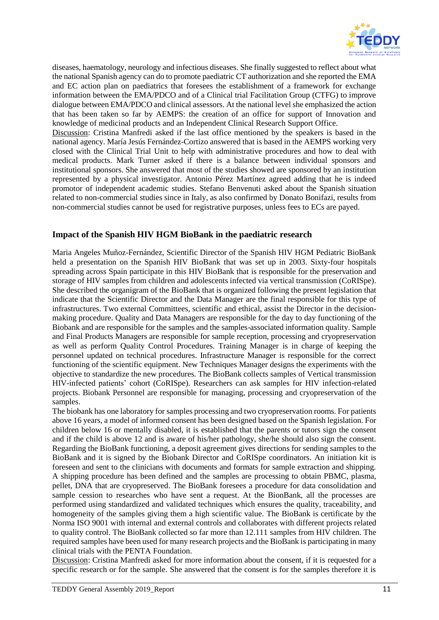

diseases, haematology, neurology and infectious diseases. She finally suggested to reflect about what the national Spanish agency can do to promote paediatric CT authorization and she reported the EMA and EC action plan on paediatrics that foresees the establishment of a framework for exchange information between the EMA/PDCO and of a Clinical trial Facilitation Group (CTFG) to improve dialogue between EMA/PDCO and clinical assessors. At the national level she emphasized the action that has been taken so far by AEMPS: the creation of an office for support of Innovation and knowledge of medicinal products and an Independent Clinical Research Support Office.

Discussion: Cristina Manfredi asked if the last office mentioned by the speakers is based in the national agency. María Jesús Fernández-Cortizo answered that is based in the AEMPS working very closed with the Clinical Trial Unit to help with administrative procedures and how to deal with medical products. Mark Turner asked if there is a balance between individual sponsors and institutional sponsors. She answered that most of the studies showed are sponsored by an institution represented by a physical investigator. Antonio Pérez Martínez agreed adding that he is indeed promotor of independent academic studies. Stefano Benvenuti asked about the Spanish situation related to non-commercial studies since in Italy, as also confirmed by Donato Bonifazi, results from non-commercial studies cannot be used for registrative purposes, unless fees to ECs are payed.

#### **Impact of the Spanish HIV HGM BioBank in the paediatric research**

Maria Angeles Muñoz-Fernández, Scientific Director of the Spanish HIV HGM Pediatric BioBank held a presentation on the Spanish HIV BioBank that was set up in 2003. Sixty-four hospitals spreading across Spain participate in this HIV BioBank that is responsible for the preservation and storage of HIV samples from children and adolescents infected via vertical transmission (CoRISpe). She described the organigram of the BioBank that is organized following the present legislation that indicate that the Scientific Director and the Data Manager are the final responsible for this type of infrastructures. Two external Committees, scientific and ethical, assist the Director in the decisionmaking procedure. Quality and Data Managers are responsible for the day to day functioning of the Biobank and are responsible for the samples and the samples-associated information quality. Sample and Final Products Managers are responsible for sample reception, processing and cryopreservation as well as perform Quality Control Procedures. Training Manager is in charge of keeping the personnel updated on technical procedures. Infrastructure Manager is responsible for the correct functioning of the scientific equipment. New Techniques Manager designs the experiments with the objective to standardize the new procedures. The BioBank collects samples of Vertical transmission HIV-infected patients' cohort (CoRISpe). Researchers can ask samples for HIV infection-related projects. Biobank Personnel are responsible for managing, processing and cryopreservation of the samples.

The biobank has one laboratory for samples processing and two cryopreservation rooms. For patients above 16 years, a model of informed consent has been designed based on the Spanish legislation. For children below 16 or mentally disabled, it is established that the parents or tutors sign the consent and if the child is above 12 and is aware of his/her pathology, she/he should also sign the consent. Regarding the BioBank functioning, a deposit agreement gives directions for sending samples to the BioBank and it is signed by the Biobank Director and CoRISpe coordinators. An initiation kit is foreseen and sent to the clinicians with documents and formats for sample extraction and shipping. A shipping procedure has been defined and the samples are processing to obtain PBMC, plasma, pellet, DNA that are cryopreserved. The BioBank foresees a procedure for data consolidation and sample cession to researches who have sent a request. At the BionBank, all the processes are performed using standardized and validated techniques which ensures the quality, traceability, and homogeneity of the samples giving them a high scientific value. The BioBank is certificate by the Norma ISO 9001 with internal and external controls and collaborates with different projects related to quality control. The BioBank collected so far more than 12.111 samples from HIV children. The required samples have been used for many research projects and the BioBank is participating in many clinical trials with the PENTA Foundation.

Discussion: Cristina Manfredi asked for more information about the consent, if it is requested for a specific research or for the sample. She answered that the consent is for the samples therefore it is